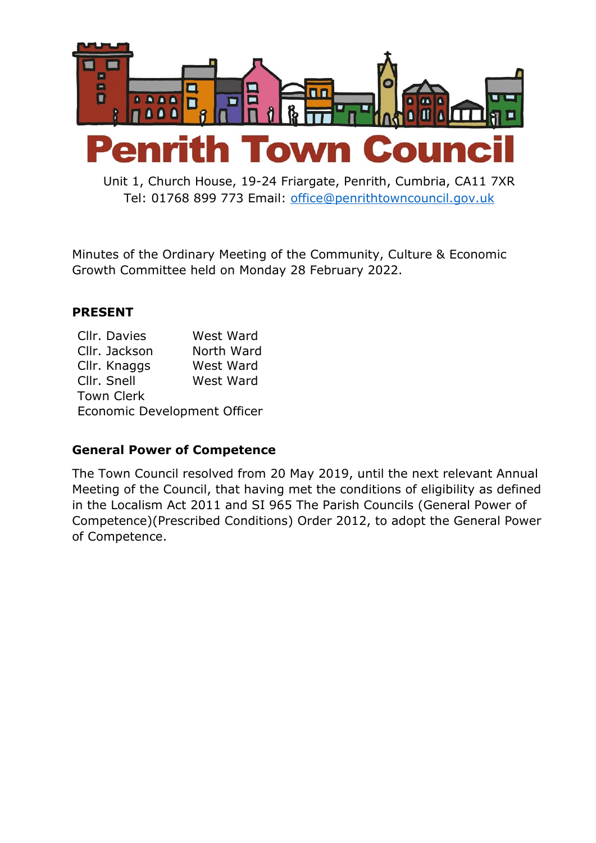

Unit 1, Church House, 19-24 Friargate, Penrith, Cumbria, CA11 7XR Tel: 01768 899 773 Email: [office@penrithtowncouncil.gov.uk](mailto:office@penrithtowncouncil.co.uk)

Minutes of the Ordinary Meeting of the Community, Culture & Economic Growth Committee held on Monday 28 February 2022.

#### **PRESENT**

| Cllr. Davies                 | West Ward  |
|------------------------------|------------|
| Cllr. Jackson                | North Ward |
| Cllr. Knaggs                 | West Ward  |
| Cllr. Snell                  | West Ward  |
| <b>Town Clerk</b>            |            |
| Economic Development Officer |            |

#### **General Power of Competence**

The Town Council resolved from 20 May 2019, until the next relevant Annual Meeting of the Council, that having met the conditions of eligibility as defined in the Localism Act 2011 and SI 965 The Parish Councils (General Power of Competence)(Prescribed Conditions) Order 2012, to adopt the General Power of Competence.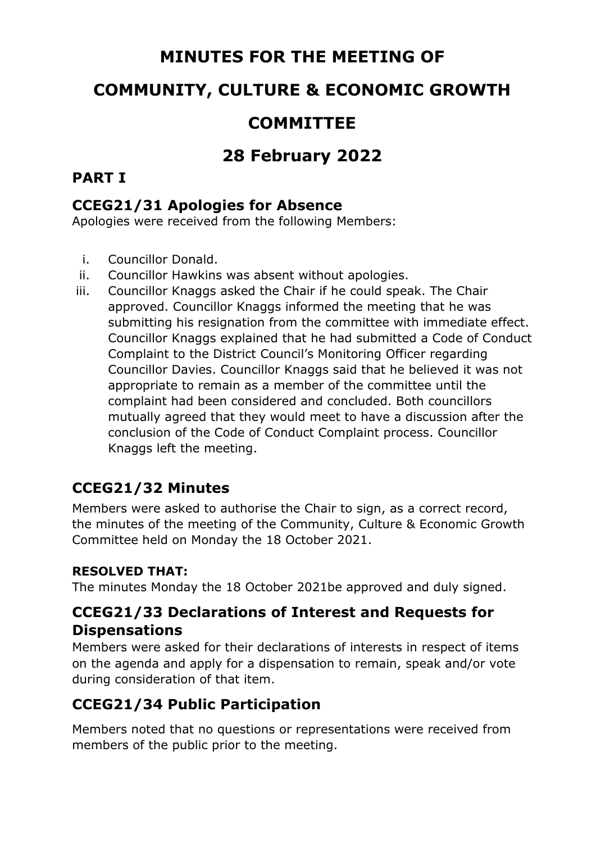# **MINUTES FOR THE MEETING OF**

## **COMMUNITY, CULTURE & ECONOMIC GROWTH**

## **COMMITTEE**

# **28 February 2022**

### **PART I**

#### **CCEG21/31 Apologies for Absence**

Apologies were received from the following Members:

- i. Councillor Donald.
- ii. Councillor Hawkins was absent without apologies.
- iii. Councillor Knaggs asked the Chair if he could speak. The Chair approved. Councillor Knaggs informed the meeting that he was submitting his resignation from the committee with immediate effect. Councillor Knaggs explained that he had submitted a Code of Conduct Complaint to the District Council's Monitoring Officer regarding Councillor Davies. Councillor Knaggs said that he believed it was not appropriate to remain as a member of the committee until the complaint had been considered and concluded. Both councillors mutually agreed that they would meet to have a discussion after the conclusion of the Code of Conduct Complaint process. Councillor Knaggs left the meeting.

### **CCEG21/32 Minutes**

Members were asked to authorise the Chair to sign, as a correct record, the minutes of the meeting of the Community, Culture & Economic Growth Committee held on Monday the 18 October 2021.

#### **RESOLVED THAT:**

The minutes Monday the 18 October 2021be approved and duly signed.

#### **CCEG21/33 Declarations of Interest and Requests for Dispensations**

Members were asked for their declarations of interests in respect of items on the agenda and apply for a dispensation to remain, speak and/or vote during consideration of that item.

### **CCEG21/34 Public Participation**

Members noted that no questions or representations were received from members of the public prior to the meeting.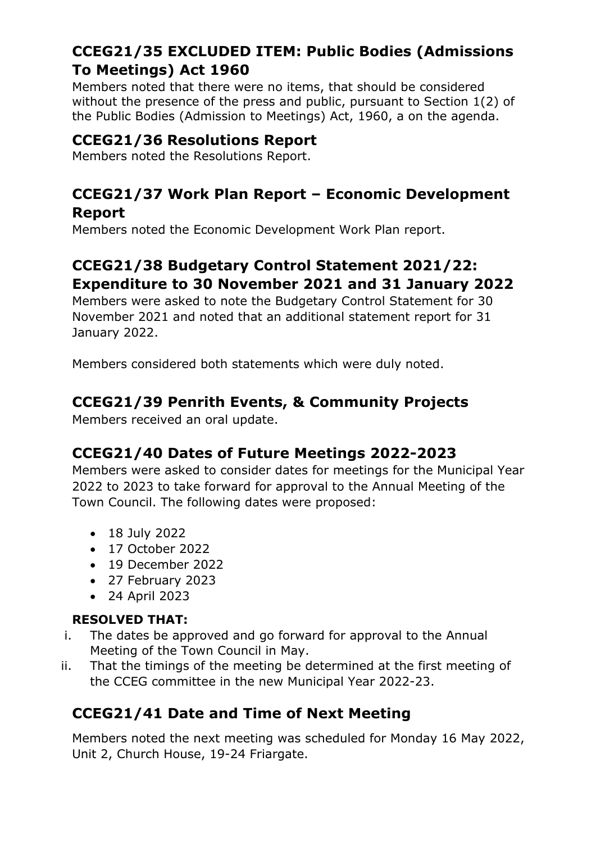## **CCEG21/35 EXCLUDED ITEM: Public Bodies (Admissions To Meetings) Act 1960**

Members noted that there were no items, that should be considered without the presence of the press and public, pursuant to Section 1(2) of the Public Bodies (Admission to Meetings) Act, 1960, a on the agenda.

#### **CCEG21/36 Resolutions Report**

Members noted the Resolutions Report.

#### **CCEG21/37 Work Plan Report – Economic Development Report**

Members noted the Economic Development Work Plan report.

## **CCEG21/38 Budgetary Control Statement 2021/22: Expenditure to 30 November 2021 and 31 January 2022**

Members were asked to note the Budgetary Control Statement for 30 November 2021 and noted that an additional statement report for 31 January 2022.

Members considered both statements which were duly noted.

#### **CCEG21/39 Penrith Events, & Community Projects**

Members received an oral update.

#### **CCEG21/40 Dates of Future Meetings 2022-2023**

Members were asked to consider dates for meetings for the Municipal Year 2022 to 2023 to take forward for approval to the Annual Meeting of the Town Council. The following dates were proposed:

- 18 July 2022
- 17 October 2022
- 19 December 2022
- 27 February 2023
- 24 April 2023

#### **RESOLVED THAT:**

- i. The dates be approved and go forward for approval to the Annual Meeting of the Town Council in May.
- ii. That the timings of the meeting be determined at the first meeting of the CCEG committee in the new Municipal Year 2022-23.

### **CCEG21/41 Date and Time of Next Meeting**

Members noted the next meeting was scheduled for Monday 16 May 2022, Unit 2, Church House, 19-24 Friargate.